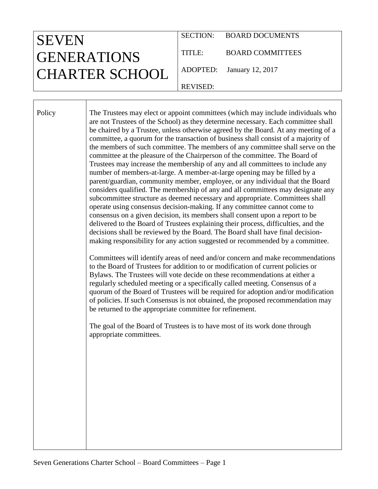| <b>SEVEN</b>          |                 | SECTION: BOARD DOCUMENTS  |
|-----------------------|-----------------|---------------------------|
| <b>GENERATIONS</b>    | TITLE:          | <b>BOARD COMMITTEES</b>   |
| <b>CHARTER SCHOOL</b> |                 | ADOPTED: January 12, 2017 |
|                       | <b>REVISED:</b> |                           |

Policy The Trustees may elect or appoint committees (which may include individuals who are not Trustees of the School) as they determine necessary. Each committee shall be chaired by a Trustee, unless otherwise agreed by the Board. At any meeting of a committee, a quorum for the transaction of business shall consist of a majority of the members of such committee. The members of any committee shall serve on the committee at the pleasure of the Chairperson of the committee. The Board of Trustees may increase the membership of any and all committees to include any number of members-at-large. A member-at-large opening may be filled by a parent/guardian, community member, employee, or any individual that the Board considers qualified. The membership of any and all committees may designate any subcommittee structure as deemed necessary and appropriate. Committees shall operate using consensus decision-making. If any committee cannot come to consensus on a given decision, its members shall consent upon a report to be delivered to the Board of Trustees explaining their process, difficulties, and the decisions shall be reviewed by the Board. The Board shall have final decisionmaking responsibility for any action suggested or recommended by a committee. Committees will identify areas of need and/or concern and make recommendations

to the Board of Trustees for addition to or modification of current policies or Bylaws. The Trustees will vote decide on these recommendations at either a regularly scheduled meeting or a specifically called meeting. Consensus of a quorum of the Board of Trustees will be required for adoption and/or modification of policies. If such Consensus is not obtained, the proposed recommendation may be returned to the appropriate committee for refinement.

The goal of the Board of Trustees is to have most of its work done through appropriate committees.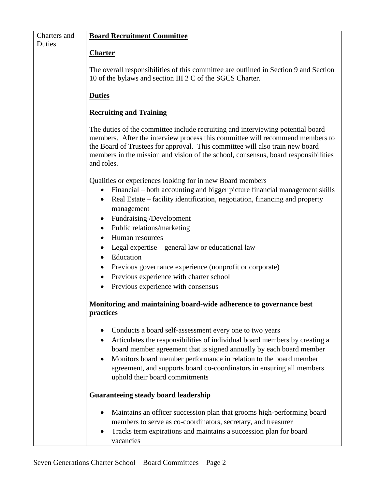| Charters and | <b>Board Recruitment Committee</b>                                                                                                                                                                                                                                                                                                                   |  |  |
|--------------|------------------------------------------------------------------------------------------------------------------------------------------------------------------------------------------------------------------------------------------------------------------------------------------------------------------------------------------------------|--|--|
| Duties       |                                                                                                                                                                                                                                                                                                                                                      |  |  |
|              | <b>Charter</b>                                                                                                                                                                                                                                                                                                                                       |  |  |
|              |                                                                                                                                                                                                                                                                                                                                                      |  |  |
|              | The overall responsibilities of this committee are outlined in Section 9 and Section<br>10 of the bylaws and section III 2 C of the SGCS Charter.                                                                                                                                                                                                    |  |  |
|              | <b>Duties</b>                                                                                                                                                                                                                                                                                                                                        |  |  |
|              | <b>Recruiting and Training</b>                                                                                                                                                                                                                                                                                                                       |  |  |
|              | The duties of the committee include recruiting and interviewing potential board<br>members. After the interview process this committee will recommend members to<br>the Board of Trustees for approval. This committee will also train new board<br>members in the mission and vision of the school, consensus, board responsibilities<br>and roles. |  |  |
|              | Qualities or experiences looking for in new Board members                                                                                                                                                                                                                                                                                            |  |  |
|              | Financial – both accounting and bigger picture financial management skills<br>Real Estate – facility identification, negotiation, financing and property<br>$\bullet$<br>management                                                                                                                                                                  |  |  |
|              | Fundraising /Development<br>$\bullet$                                                                                                                                                                                                                                                                                                                |  |  |
|              | Public relations/marketing<br>$\bullet$                                                                                                                                                                                                                                                                                                              |  |  |
|              | Human resources                                                                                                                                                                                                                                                                                                                                      |  |  |
|              | Legal expertise – general law or educational law                                                                                                                                                                                                                                                                                                     |  |  |
|              | Education<br>$\bullet$                                                                                                                                                                                                                                                                                                                               |  |  |
|              | Previous governance experience (nonprofit or corporate)                                                                                                                                                                                                                                                                                              |  |  |
|              | Previous experience with charter school<br>$\bullet$                                                                                                                                                                                                                                                                                                 |  |  |
|              | Previous experience with consensus                                                                                                                                                                                                                                                                                                                   |  |  |
|              |                                                                                                                                                                                                                                                                                                                                                      |  |  |
|              | Monitoring and maintaining board-wide adherence to governance best<br>practices                                                                                                                                                                                                                                                                      |  |  |
|              |                                                                                                                                                                                                                                                                                                                                                      |  |  |
|              | Conducts a board self-assessment every one to two years                                                                                                                                                                                                                                                                                              |  |  |
|              | Articulates the responsibilities of individual board members by creating a                                                                                                                                                                                                                                                                           |  |  |
|              | board member agreement that is signed annually by each board member                                                                                                                                                                                                                                                                                  |  |  |
|              | Monitors board member performance in relation to the board member                                                                                                                                                                                                                                                                                    |  |  |
|              | agreement, and supports board co-coordinators in ensuring all members                                                                                                                                                                                                                                                                                |  |  |
|              | uphold their board commitments                                                                                                                                                                                                                                                                                                                       |  |  |
|              | <b>Guaranteeing steady board leadership</b>                                                                                                                                                                                                                                                                                                          |  |  |
|              | Maintains an officer succession plan that grooms high-performing board                                                                                                                                                                                                                                                                               |  |  |
|              | members to serve as co-coordinators, secretary, and treasurer                                                                                                                                                                                                                                                                                        |  |  |
|              | Tracks term expirations and maintains a succession plan for board<br>$\bullet$                                                                                                                                                                                                                                                                       |  |  |
|              | vacancies                                                                                                                                                                                                                                                                                                                                            |  |  |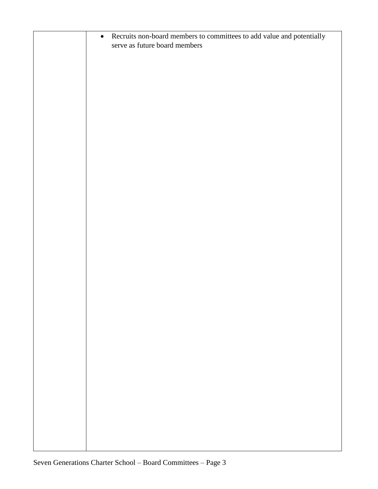| Recruits non-board members to committees to add value and potentially<br>$\bullet$<br>serve as future board members |
|---------------------------------------------------------------------------------------------------------------------|
|                                                                                                                     |
|                                                                                                                     |
|                                                                                                                     |
|                                                                                                                     |
|                                                                                                                     |
|                                                                                                                     |
|                                                                                                                     |
|                                                                                                                     |
|                                                                                                                     |
|                                                                                                                     |
|                                                                                                                     |
|                                                                                                                     |
|                                                                                                                     |
|                                                                                                                     |
|                                                                                                                     |
|                                                                                                                     |
|                                                                                                                     |
|                                                                                                                     |
|                                                                                                                     |
|                                                                                                                     |
|                                                                                                                     |
|                                                                                                                     |
|                                                                                                                     |
|                                                                                                                     |
|                                                                                                                     |
|                                                                                                                     |
|                                                                                                                     |
|                                                                                                                     |
|                                                                                                                     |
|                                                                                                                     |
|                                                                                                                     |
|                                                                                                                     |
|                                                                                                                     |
|                                                                                                                     |
|                                                                                                                     |
|                                                                                                                     |
|                                                                                                                     |
|                                                                                                                     |
|                                                                                                                     |
|                                                                                                                     |
|                                                                                                                     |
|                                                                                                                     |
|                                                                                                                     |
|                                                                                                                     |
|                                                                                                                     |
|                                                                                                                     |
|                                                                                                                     |
|                                                                                                                     |
|                                                                                                                     |
|                                                                                                                     |
|                                                                                                                     |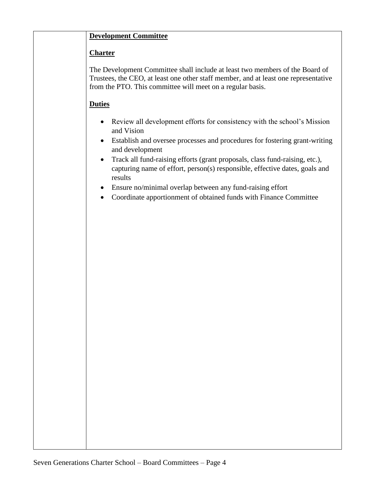## **Development Committee**

## **Charter**

The Development Committee shall include at least two members of the Board of Trustees, the CEO, at least one other staff member, and at least one representative from the PTO. This committee will meet on a regular basis.

- Review all development efforts for consistency with the school's Mission and Vision
- Establish and oversee processes and procedures for fostering grant-writing and development
- Track all fund-raising efforts (grant proposals, class fund-raising, etc.), capturing name of effort, person(s) responsible, effective dates, goals and results
- Ensure no/minimal overlap between any fund-raising effort
- Coordinate apportionment of obtained funds with Finance Committee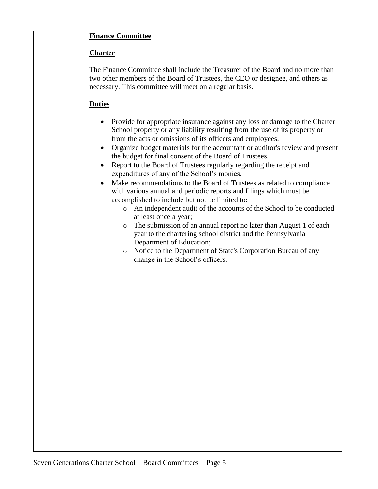### **Finance Committee**

#### **Charter**

The Finance Committee shall include the Treasurer of the Board and no more than two other members of the Board of Trustees, the CEO or designee, and others as necessary. This committee will meet on a regular basis.

- Provide for appropriate insurance against any loss or damage to the Charter School property or any liability resulting from the use of its property or from the acts or omissions of its officers and employees.
- Organize budget materials for the accountant or auditor's review and present the budget for final consent of the Board of Trustees.
- Report to the Board of Trustees regularly regarding the receipt and expenditures of any of the School's monies.
- Make recommendations to the Board of Trustees as related to compliance with various annual and periodic reports and filings which must be accomplished to include but not be limited to:
	- o An independent audit of the accounts of the School to be conducted at least once a year;
	- o The submission of an annual report no later than August 1 of each year to the chartering school district and the Pennsylvania Department of Education;
	- o Notice to the Department of State's Corporation Bureau of any change in the School's officers.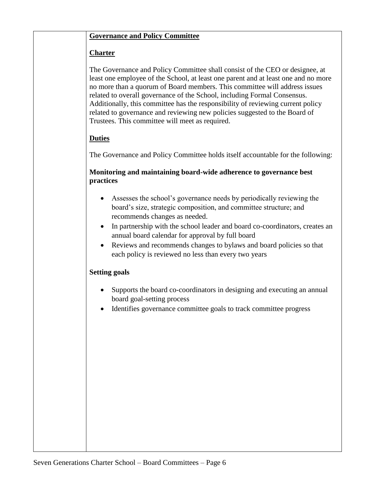#### **Governance and Policy Committee**

#### **Charter**

The Governance and Policy Committee shall consist of the CEO or designee, at least one employee of the School, at least one parent and at least one and no more no more than a quorum of Board members. This committee will address issues related to overall governance of the School, including Formal Consensus. Additionally, this committee has the responsibility of reviewing current policy related to governance and reviewing new policies suggested to the Board of Trustees. This committee will meet as required.

#### **Duties**

The Governance and Policy Committee holds itself accountable for the following:

#### **Monitoring and maintaining board-wide adherence to governance best practices**

- Assesses the school's governance needs by periodically reviewing the board's size, strategic composition, and committee structure; and recommends changes as needed.
- In partnership with the school leader and board co-coordinators, creates an annual board calendar for approval by full board
- Reviews and recommends changes to bylaws and board policies so that each policy is reviewed no less than every two years

#### **Setting goals**

- Supports the board co-coordinators in designing and executing an annual board goal-setting process
- Identifies governance committee goals to track committee progress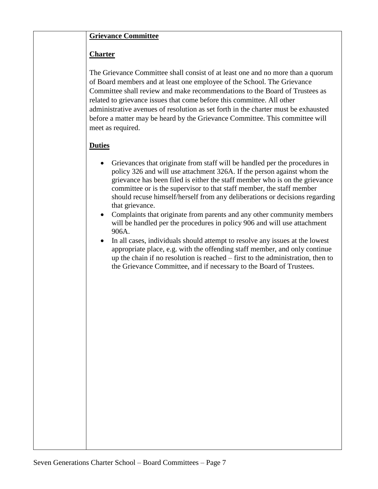#### **Grievance Committee**

#### **Charter**

The Grievance Committee shall consist of at least one and no more than a quorum of Board members and at least one employee of the School. The Grievance Committee shall review and make recommendations to the Board of Trustees as related to grievance issues that come before this committee. All other administrative avenues of resolution as set forth in the charter must be exhausted before a matter may be heard by the Grievance Committee. This committee will meet as required.

- Grievances that originate from staff will be handled per the procedures in policy 326 and will use attachment 326A. If the person against whom the grievance has been filed is either the staff member who is on the grievance committee or is the supervisor to that staff member, the staff member should recuse himself/herself from any deliberations or decisions regarding that grievance.
- Complaints that originate from parents and any other community members will be handled per the procedures in policy 906 and will use attachment 906A.
- In all cases, individuals should attempt to resolve any issues at the lowest appropriate place, e.g. with the offending staff member, and only continue up the chain if no resolution is reached – first to the administration, then to the Grievance Committee, and if necessary to the Board of Trustees.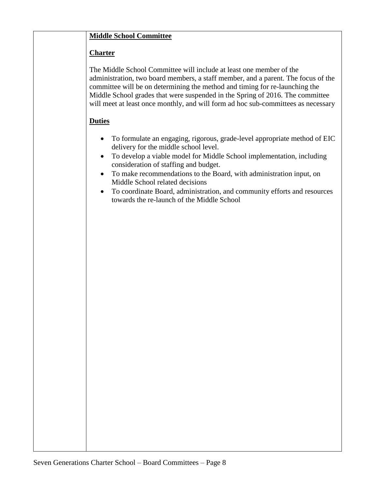## **Middle School Committee**

### **Charter**

The Middle School Committee will include at least one member of the administration, two board members, a staff member, and a parent. The focus of the committee will be on determining the method and timing for re-launching the Middle School grades that were suspended in the Spring of 2016. The committee will meet at least once monthly, and will form ad hoc sub-committees as necessary

- To formulate an engaging, rigorous, grade-level appropriate method of EIC delivery for the middle school level.
- To develop a viable model for Middle School implementation, including consideration of staffing and budget.
- To make recommendations to the Board, with administration input, on Middle School related decisions
- To coordinate Board, administration, and community efforts and resources towards the re-launch of the Middle School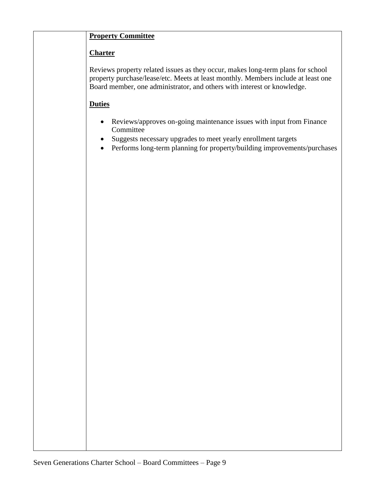## **Property Committee**

## **Charter**

Reviews property related issues as they occur, makes long-term plans for school property purchase/lease/etc. Meets at least monthly. Members include at least one Board member, one administrator, and others with interest or knowledge.

- Reviews/approves on-going maintenance issues with input from Finance Committee
- Suggests necessary upgrades to meet yearly enrollment targets
- Performs long-term planning for property/building improvements/purchases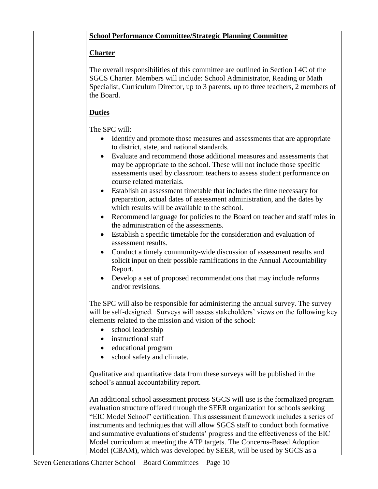## **School Performance Committee/Strategic Planning Committee**

## **Charter**

The overall responsibilities of this committee are outlined in Section I 4C of the SGCS Charter. Members will include: School Administrator, Reading or Math Specialist, Curriculum Director, up to 3 parents, up to three teachers, 2 members of the Board.

# **Duties**

The SPC will:

- Identify and promote those measures and assessments that are appropriate to district, state, and national standards.
- Evaluate and recommend those additional measures and assessments that may be appropriate to the school. These will not include those specific assessments used by classroom teachers to assess student performance on course related materials.
- Establish an assessment timetable that includes the time necessary for preparation, actual dates of assessment administration, and the dates by which results will be available to the school.
- Recommend language for policies to the Board on teacher and staff roles in the administration of the assessments.
- Establish a specific timetable for the consideration and evaluation of assessment results.
- Conduct a timely community-wide discussion of assessment results and solicit input on their possible ramifications in the Annual Accountability Report.
- Develop a set of proposed recommendations that may include reforms and/or revisions.

The SPC will also be responsible for administering the annual survey. The survey will be self-designed. Surveys will assess stakeholders' views on the following key elements related to the mission and vision of the school:

- school leadership
- instructional staff
- educational program
- school safety and climate.

Qualitative and quantitative data from these surveys will be published in the school's annual accountability report.

An additional school assessment process SGCS will use is the formalized program evaluation structure offered through the SEER organization for schools seeking "EIC Model School" certification. This assessment framework includes a series of instruments and techniques that will allow SGCS staff to conduct both formative and summative evaluations of students' progress and the effectiveness of the EIC Model curriculum at meeting the ATP targets. The Concerns-Based Adoption Model (CBAM), which was developed by SEER, will be used by SGCS as a